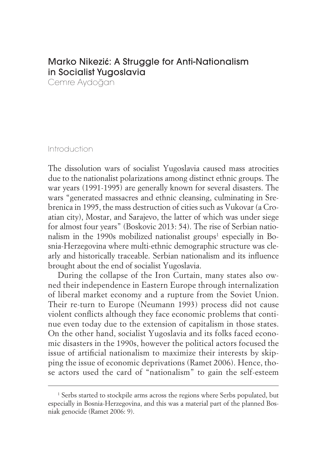# Marko Nikezi**ć**: A Struggle for Anti-Nationalism in Socialist Yugoslavia

Cemre Aydoğan

## Introduction

The dissolution wars of socialist Yugoslavia caused mass atrocities due to the nationalist polarizations among distinct ethnic groups. The war years (1991-1995) are generally known for several disasters. The wars "generated massacres and ethnic cleansing, culminating in Srebrenica in 1995, the mass destruction of cities such as Vukovar (a Croatian city), Mostar, and Sarajevo, the latter of which was under siege for almost four years" (Boskovic 2013: 54). The rise of Serbian nationalism in the 1990s mobilized nationalist groups<sup>1</sup> especially in Bosnia-Herzegovina where multi-ethnic demographic structure was clearly and historically traceable. Serbian nationalism and its influence brought about the end of socialist Yugoslavia.

During the collapse of the Iron Curtain, many states also owned their independence in Eastern Europe through internalization of liberal market economy and a rupture from the Soviet Union. Their re-turn to Europe (Neumann 1993) process did not cause violent conflicts although they face economic problems that continue even today due to the extension of capitalism in those states. On the other hand, socialist Yugoslavia and its folks faced economic disasters in the 1990s, however the political actors focused the issue of artificial nationalism to maximize their interests by skipping the issue of economic deprivations (Ramet 2006). Hence, those actors used the card of "nationalism" to gain the self-esteem

<sup>&</sup>lt;sup>1</sup> Serbs started to stockpile arms across the regions where Serbs populated, but especially in Bosnia-Herzegovina, and this was a material part of the planned Bosniak genocide (Ramet 2006: 9).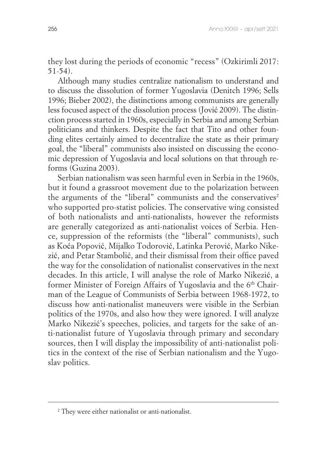they lost during the periods of economic "recess" (Ozkirimli 2017: 51-54).

Although many studies centralize nationalism to understand and to discuss the dissolution of former Yugoslavia (Denitch 1996; Sells 1996; Bieber 2002), the distinctions among communists are generally less focused aspect of the dissolution process (Jović 2009). The distinction process started in 1960s, especially in Serbia and among Serbian politicians and thinkers. Despite the fact that Tito and other founding elites certainly aimed to decentralize the state as their primary goal, the "liberal" communists also insisted on discussing the economic depression of Yugoslavia and local solutions on that through reforms (Guzina 2003).

Serbian nationalism was seen harmful even in Serbia in the 1960s, but it found a grassroot movement due to the polarization between the arguments of the "liberal" communists and the conservatives<sup>2</sup> who supported pro-statist policies. The conservative wing consisted of both nationalists and anti-nationalists, however the reformists are generally categorized as anti-nationalist voices of Serbia. Hence, suppression of the reformists (the "liberal" communists), such as Koća Popović, Mijalko Todorović, Latinka Perović, Marko Nikezić, and Petar Stambolić, and their dismissal from their office paved the way for the consolidation of nationalist conservatives in the next decades. In this article, I will analyse the role of Marko Nikezić, a former Minister of Foreign Affairs of Yugoslavia and the 6<sup>th</sup> Chairman of the League of Communists of Serbia between 1968-1972, to discuss how anti-nationalist maneuvers were visible in the Serbian politics of the 1970s, and also how they were ignored. I will analyze Marko Nikezić's speeches, policies, and targets for the sake of anti-nationalist future of Yugoslavia through primary and secondary sources, then I will display the impossibility of anti-nationalist politics in the context of the rise of Serbian nationalism and the Yugoslav politics.

<sup>&</sup>lt;sup>2</sup> They were either nationalist or anti-nationalist.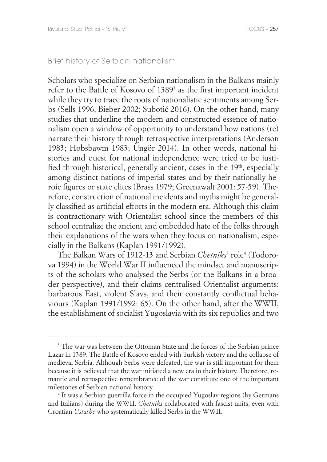#### Brief history of Serbian nationalism

Scholars who specialize on Serbian nationalism in the Balkans mainly refer to the Battle of Kosovo of 1389<sup>3</sup> as the first important incident while they try to trace the roots of nationalistic sentiments among Serbs (Sells 1996; Bieber 2002; Subotić 2016). On the other hand, many studies that underline the modern and constructed essence of nationalism open a window of opportunity to understand how nations (re) narrate their history through retrospective interpretations (Anderson 1983; Hobsbawm 1983; Üngör 2014). In other words, national histories and quest for national independence were tried to be justified through historical, generally ancient, cases in the 19<sup>th</sup>, especially among distinct nations of imperial states and by their nationally heroic figures or state elites (Brass 1979; Greenawalt 2001: 57-59). Therefore, construction of national incidents and myths might be generally classified as artificial efforts in the modern era. Although this claim is contractionary with Orientalist school since the members of this school centralize the ancient and embedded hate of the folks through their explanations of the wars when they focus on nationalism, especially in the Balkans (Kaplan 1991/1992).

The Balkan Wars of 1912-13 and Serbian *Chetniks*' role4 (Todorova 1994) in the World War II influenced the mindset and manuscripts of the scholars who analysed the Serbs (or the Balkans in a broader perspective), and their claims centralised Orientalist arguments: barbarous East, violent Slavs, and their constantly conflictual behaviours (Kaplan 1991/1992: 65). On the other hand, after the WWII, the establishment of socialist Yugoslavia with its six republics and two

<sup>&</sup>lt;sup>3</sup> The war was between the Ottoman State and the forces of the Serbian prince Lazar in 1389. The Battle of Kosovo ended with Turkish victory and the collapse of medieval Serbia. Although Serbs were defeated, the war is still important for them because it is believed that the war initiated a new era in their history. Therefore, romantic and retrospective remembrance of the war constitute one of the important milestones of Serbian national history.

<sup>4</sup> It was a Serbian guerrilla force in the occupied Yugoslav regions (by Germans and Italians) during the WWII. *Chetniks* collaborated with fascist units, even with Croatian *Ustashe* who systematically killed Serbs in the WWII.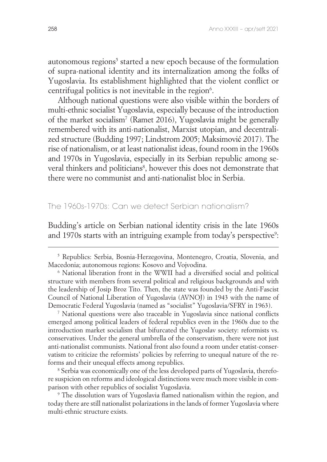autonomous regions<sup>5</sup> started a new epoch because of the formulation of supra-national identity and its internalization among the folks of Yugoslavia. Its establishment highlighted that the violent conflict or centrifugal politics is not inevitable in the region<sup>6</sup>.

Although national questions were also visible within the borders of multi-ethnic socialist Yugoslavia, especially because of the introduction of the market socialism7 (Ramet 2016), Yugoslavia might be generally remembered with its anti-nationalist, Marxist utopian, and decentralized structure (Budding 1997; Lindstrom 2005; Maksimović 2017). The rise of nationalism, or at least nationalist ideas, found room in the 1960s and 1970s in Yugoslavia, especially in its Serbian republic among several thinkers and politicians<sup>8</sup>, however this does not demonstrate that there were no communist and anti-nationalist bloc in Serbia.

## The 1960s-1970s: Can we detect Serbian nationalism?

Budding's article on Serbian national identity crisis in the late 1960s and 1970s starts with an intriguing example from today's perspective<sup>9</sup>:

7 National questions were also traceable in Yugoslavia since national conflicts emerged among political leaders of federal republics even in the 1960s due to the introduction market socialism that bifurcated the Yugoslav society: reformists vs. conservatives. Under the general umbrella of the conservatism, there were not just anti-nationalist communists. National front also found a room under etatist-conservatism to criticize the reformists' policies by referring to unequal nature of the reforms and their unequal effects among republics.

<sup>8</sup> Serbia was economically one of the less developed parts of Yugoslavia, therefore suspicion on reforms and ideological distinctions were much more visible in comparison with other republics of socialist Yugoslavia. 9

 The dissolution wars of Yugoslavia flamed nationalism within the region, and today there are still nationalist polarizations in the lands of former Yugoslavia where multi-ethnic structure exists.

<sup>5</sup> Republics: Serbia, Bosnia-Herzegovina, Montenegro, Croatia, Slovenia, and Macedonia; autonomous regions: Kosovo and Vojvodina.

<sup>6</sup> National liberation front in the WWII had a diversified social and political structure with members from several political and religious backgrounds and with the leadership of Josip Broz Tito. Then, the state was founded by the Anti-Fascist Council of National Liberation of Yugoslavia (AVNOJ) in 1943 with the name of Democratic Federal Yugoslavia (named as "socialist" Yugoslavia/SFRY in 1963).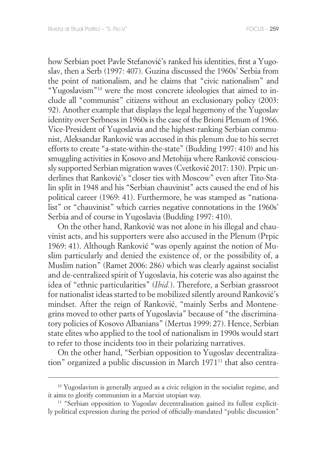how Serbian poet Pavle Stefanović's ranked his identities, first a Yugoslav, then a Serb (1997: 407). Guzina discussed the 1960s' Serbia from the point of nationalism, and he claims that "civic nationalism" and "Yugoslavism"10 were the most concrete ideologies that aimed to include all "communist" citizens without an exclusionary policy (2003: 92). Another example that displays the legal hegemony of the Yugoslav identity over Serbness in 1960s is the case of the Brioni Plenum of 1966. Vice-President of Yugoslavia and the highest-ranking Serbian communist, Aleksandar Ranković was accused in this plenum due to his secret efforts to create "a-state-within-the-state" (Budding 1997: 410) and his smuggling activities in Kosovo and Metohija where Ranković consciously supported Serbian migration waves (Cvetković 2017: 130). Prpic underlines that Ranković's "closer ties with Moscow" even after Tito-Stalin split in 1948 and his "Serbian chauvinist" acts caused the end of his political career (1969: 41). Furthermore, he was stamped as "nationalist" or "chauvinist" which carries negative connotations in the 1960s' Serbia and of course in Yugoslavia (Budding 1997: 410).

On the other hand, Ranković was not alone in his illegal and chauvinist acts, and his supporters were also accused in the Plenum (Prpic 1969: 41). Although Ranković "was openly against the notion of Muslim particularly and denied the existence of, or the possibility of, a Muslim nation" (Ramet 2006: 286) which was clearly against socialist and de-centralized spirit of Yugoslavia, his coterie was also against the idea of "ethnic particularities" (*Ibid.*). Therefore, a Serbian grassroot for nationalist ideas started to be mobilized silently around Ranković's mindset. After the reign of Ranković, "mainly Serbs and Montenegrins moved to other parts of Yugoslavia" because of "the discriminatory policies of Kosovo Albanians" (Mertus 1999: 27). Hence, Serbian state elites who applied to the tool of nationalism in 1990s would start to refer to those incidents too in their polarizing narratives.

On the other hand, "Serbian opposition to Yugoslav decentralization" organized a public discussion in March 197111 that also centra-

<sup>&</sup>lt;sup>10</sup> Yugoslavism is generally argued as a civic religion in the socialist regime, and it aims to glorify communism in a Marxist utopian way.

<sup>&</sup>lt;sup>11</sup> "Serbian opposition to Yugoslav decentralisation gained its fullest explicitly political expression during the period of officially-mandated "public discussion"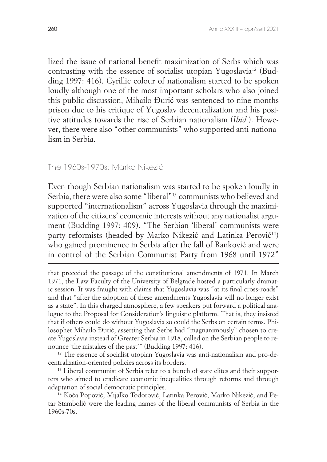lized the issue of national benefit maximization of Serbs which was contrasting with the essence of socialist utopian Yugoslavia<sup>12</sup> (Budding 1997: 416). Cyrillic colour of nationalism started to be spoken loudly although one of the most important scholars who also joined this public discussion, Mihailo Đurić was sentenced to nine months prison due to his critique of Yugoslav decentralization and his positive attitudes towards the rise of Serbian nationalism (*Ibid.*). However, there were also "other communists" who supported anti-nationalism in Serbia.

#### The 1960s-1970s: Marko Nikezić

Even though Serbian nationalism was started to be spoken loudly in Serbia, there were also some "liberal"13 communists who believed and supported "internationalism" across Yugoslavia through the maximization of the citizens' economic interests without any nationalist argument (Budding 1997: 409). "The Serbian 'liberal' communists were party reformists (headed by Marko Nikezić and Latinka Perović<sup>14</sup>) who gained prominence in Serbia after the fall of Ranković and were in control of the Serbian Communist Party from 1968 until 1972"

that preceded the passage of the constitutional amendments of 1971. In March 1971, the Law Faculty of the University of Belgrade hosted a particularly dramatic session. It was fraught with claims that Yugoslavia was "at its final cross-roads" and that "after the adoption of these amendments Yugoslavia will no longer exist as a state". In this charged atmosphere, a few speakers put forward a political analogue to the Proposal for Consideration's linguistic platform. That is, they insisted that if others could do without Yugoslavia so could the Serbs on certain terms. Philosopher Mihailo Đurić, asserting that Serbs had "magnanimously" chosen to create Yugoslavia instead of Greater Serbia in 1918, called on the Serbian people to renounce 'the mistakes of the past'" (Budding 1997: 416).

<sup>12</sup> The essence of socialist utopian Yugoslavia was anti-nationalism and pro-decentralization-oriented policies across its borders.

<sup>13</sup> Liberal communist of Serbia refer to a bunch of state elites and their supporters who aimed to eradicate economic inequalities through reforms and through adaptation of social democratic principles.

14 Koća Popović, Mijalko Todorović, Latinka Perović, Marko Nikezić, and Petar Stambolić were the leading names of the liberal communists of Serbia in the 1960s-70s.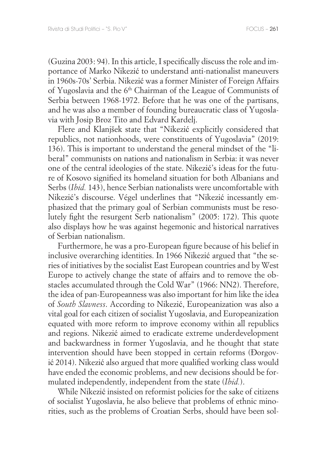(Guzina 2003: 94). In this article, I specifically discuss the role and importance of Marko Nikezić to understand anti-nationalist maneuvers in 1960s-70s' Serbia. Nikezić was a former Minister of Foreign Affairs of Yugoslavia and the 6th Chairman of the League of Communists of Serbia between 1968-1972. Before that he was one of the partisans, and he was also a member of founding bureaucratic class of Yugoslavia with Josip Broz Tito and Edvard Kardelj.

Flere and Klanjšek state that "Nikezić explicitly considered that republics, not nationhoods, were constituents of Yugoslavia" (2019: 136). This is important to understand the general mindset of the "liberal" communists on nations and nationalism in Serbia: it was never one of the central ideologies of the state. Nikezić's ideas for the future of Kosovo signified its homeland situation for both Albanians and Serbs (*Ibid.* 143), hence Serbian nationalists were uncomfortable with Nikezić's discourse. Végel underlines that "Nikezić incessantly emphasized that the primary goal of Serbian communists must be resolutely fight the resurgent Serb nationalism" (2005: 172). This quote also displays how he was against hegemonic and historical narratives of Serbian nationalism.

Furthermore, he was a pro-European figure because of his belief in inclusive overarching identities. In 1966 Nikezić argued that "the series of initiatives by the socialist East European countries and by West Europe to actively change the state of affairs and to remove the obstacles accumulated through the Cold War" (1966: NN2). Therefore, the idea of pan-Europeanness was also important for him like the idea of *South Slavness*. According to Nikezić, Europeanization was also a vital goal for each citizen of socialist Yugoslavia, and Europeanization equated with more reform to improve economy within all republics and regions. Nikezić aimed to eradicate extreme underdevelopment and backwardness in former Yugoslavia, and he thought that state intervention should have been stopped in certain reforms (Đorgović 2014). Nikezić also argued that more qualified working class would have ended the economic problems, and new decisions should be formulated independently, independent from the state (*Ibid.*).

While Nikezić insisted on reformist policies for the sake of citizens of socialist Yugoslavia, he also believe that problems of ethnic minorities, such as the problems of Croatian Serbs, should have been sol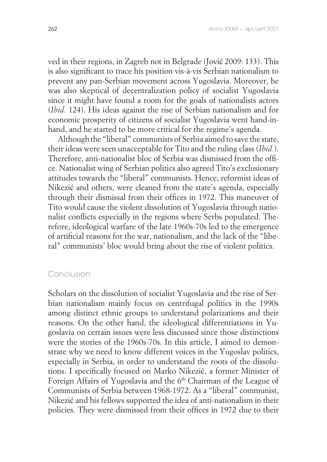ved in their regions, in Zagreb not in Belgrade (Jović 2009: 133). This is also significant to trace his position vis-à-vis Serbian nationalism to prevent any pan-Serbian movement across Yugoslavia. Moreover, he was also skeptical of decentralization policy of socialist Yugoslavia since it might have found a room for the goals of nationalists actors (*Ibid.* 124). His ideas against the rise of Serbian nationalism and for economic prosperity of citizens of socialist Yugoslavia went hand-inhand, and he started to be more critical for the regime's agenda.

Although the "liberal" communists of Serbia aimed to save the state, their ideas were seen unacceptable for Tito and the ruling class (*Ibid.*). Therefore, anti-nationalist bloc of Serbia was dismissed from the office. Nationalist wing of Serbian politics also agreed Tito's exclusionary attitudes towards the "liberal" communists. Hence, reformist ideas of Nikezić and others, were cleaned from the state's agenda, especially through their dismissal from their offices in 1972. This maneuver of Tito would cause the violent dissolution of Yugoslavia through nationalist conflicts especially in the regions where Serbs populated. Therefore, ideological warfare of the late 1960s-70s led to the emergence of artificial reasons for the war, nationalism, and the lack of the "liberal" communists' bloc would bring about the rise of violent politics.

## Conclusion

Scholars on the dissolution of socialist Yugoslavia and the rise of Serbian nationalism mainly focus on centrifugal politics in the 1990s among distinct ethnic groups to understand polarizations and their reasons. On the other hand, the ideological differentiations in Yugoslavia on certain issues were less discussed since those distinctions were the stories of the 1960s-70s. In this article, I aimed to demonstrate why we need to know different voices in the Yugoslav politics, especially in Serbia, in order to understand the roots of the dissolutions. I specifically focused on Marko Nikezić, a former Minister of Foreign Affairs of Yugoslavia and the 6<sup>th</sup> Chairman of the League of Communists of Serbia between 1968-1972. As a "liberal" communist, Nikezić and his fellows supported the idea of anti-nationalism in their policies. They were dismissed from their offices in 1972 due to their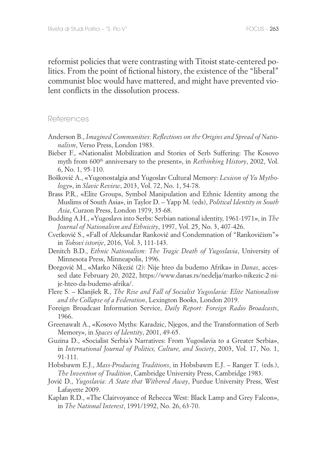reformist policies that were contrasting with Titoist state-centered politics. From the point of fictional history, the existence of the "liberal" communist bloc would have mattered, and might have prevented violent conflicts in the dissolution process.

#### References

- Anderson B., *Imagined Communities: Reflections on the Origins and Spread of Nationalism*, Verso Press, London 1983.
- Bieber F., «Nationalist Mobilization and Stories of Serb Suffering: The Kosovo myth from 600<sup>th</sup> anniversary to the present», in *Rethinking History*, 2002, Vol. 6, No. 1, 95-110.
- Bošković A., «Yugonostalgia and Yugoslav Cultural Memory: *Lexicon of Yu Mythology*», in *Slavic Review*, 2013, Vol. 72, No. 1, 54-78.
- Brass P.R., «Elite Groups, Symbol Manipulation and Ethnic Identity among the Muslims of South Asia», in Taylor D. – Yapp M. (eds), *Political Identity in South Asia*, Curzon Press, London 1979, 35-68.
- Budding A.H., «Yugoslavs into Serbs: Serbian national identity, 1961-1971», in *The Journal of Nationalism and Ethnicity*, 1997, Vol. 25, No. 3, 407-426.
- Cvetković S., «Fall of Aleksandar Ranković and Condemnation of "Rankovićism"» in *Tokovi istorije*, 2016, Vol. 3, 111-143.
- Denitch B.D., *Ethnic Nationalism: The Tragic Death of Yugoslavia*, University of Minnesota Press, Minneapolis, 1996.
- Đorgović M., «Marko Nikezić (2): Nije hteo da budemo Afrika» in *Danas*, accessed date February 20, 2022, https://www.danas.rs/nedelja/marko-nikezic-2-nije-hteo-da-budemo-afrika/.
- Flere S. Klanjšek R., *The Rise and Fall of Socialist Yugoslavia: Elite Nationalism and the Collapse of a Federation*, Lexington Books, London 2019.
- Foreign Broadcast Information Service, *Daily Report: Foreign Radio Broadcasts*, 1966.
- Greenawalt A., «Kosovo Myths: Karadzic, Njegos, and the Transformation of Serb Memory», in *Spaces of Identity*, 2001, 49-65.
- Guzina D., «Socialist Serbia's Narratives: From Yugoslavia to a Greater Serbia», in *International Journal of Politics, Culture, and Society*, 2003, Vol. 17, No. 1, 91-111.
- Hobsbawm E.J., *Mass-Producing Traditions*, in Hobsbawm E.J. Ranger T. (eds.), *The Invention of Tradition*, Cambridge University Press, Cambridge 1983.
- Jović D., *Yugoslavia: A State that Withered Away*, Purdue University Press, West Lafayette 2009.
- Kaplan R.D., «The Clairvoyance of Rebecca West: Black Lamp and Grey Falcon», in *The National Interest*, 1991/1992, No. 26, 63-70.